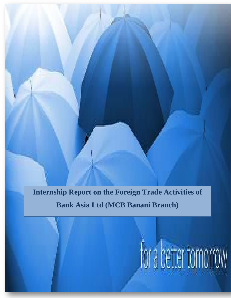**Internship Report on the Foreign Trade Activities of Bank Asia Ltd (MCB Banani Branch)**

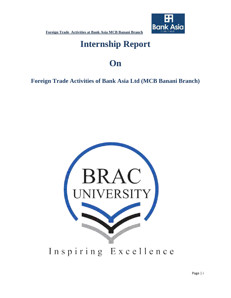

# **Internship Report**

# **On**

**Foreign Trade Activities of Bank Asia Ltd (MCB Banani Branch)** 

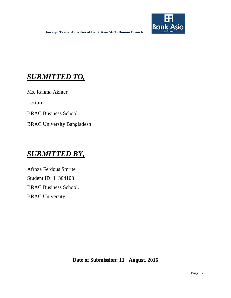

# *SUBMITTED TO,*

Ms. Rahma Akhter

Lecturer,

BRAC Business School

BRAC University Bangladesh

# *SUBMITTED BY,*

Afroza Ferdous Smrite Student ID: 11304103 BRAC Business School. BRAC University.

Date of Submission:  $11<sup>th</sup>$  August, 2016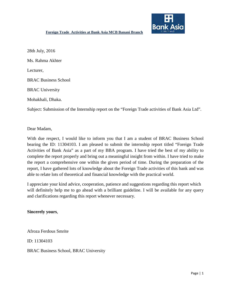

28th July, 2016 Ms. Rahma Akhter Lecturer, BRAC Business School BRAC University Mohakhali, Dhaka.

Subject: Submission of the Internship report on the "Foreign Trade activities of Bank Asia Ltd".

Dear Madam,

With due respect, I would like to inform you that I am a student of BRAC Business School bearing the ID: 11304103. I am pleased to submit the internship report titled "Foreign Trade Activities of Bank Asia" as a part of my BBA program. I have tried the best of my ability to complete the report properly and bring out a meaningful insight from within. I have tried to make the report a comprehensive one within the given period of time. During the preparation of the report, I have gathered lots of knowledge about the Foreign Trade activities of this bank and was able to relate lots of theoretical and financial knowledge with the practical world.

I appreciate your kind advice, cooperation, patience and suggestions regarding this report which will definitely help me to go ahead with a brilliant guideline. I will be available for any query and clarifications regarding this report whenever necessary.

**Sincerely yours**,

Afroza Ferdous Smrite

ID: 11304103

BRAC Business School, BRAC University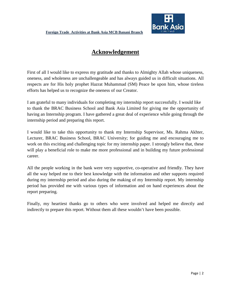

# **Acknowledgement**

First of all I would like to express my gratitude and thanks to Almighty Allah whose uniqueness, oneness, and wholeness are unchallengeable and has always guided us in difficult situations. All respects are for His holy prophet Hazrat Muhammad (SM) Peace be upon him, whose tireless efforts has helped us to recognize the oneness of our Creator.

I am grateful to many individuals for completing my internship report successfully. I would like to thank the BRAC Business School and Bank Asia Limited for giving me the opportunity of having an Internship program. I have gathered a great deal of experience while going through the internship period and preparing this report.

I would like to take this opportunity to thank my Internship Supervisor, Ms. Rahma Akhter, Lecturer, BRAC Business School, BRAC University; for guiding me and encouraging me to work on this exciting and challenging topic for my internship paper. I strongly believe that, these will play a beneficial role to make me more professional and in building my future professional career.

All the people working in the bank were very supportive, co-operative and friendly. They have all the way helped me to their best knowledge with the information and other supports required during my internship period and also during the making of my Internship report. My internship period has provided me with various types of information and on hand experiences about the report preparing.

Finally, my heartiest thanks go to others who were involved and helped me directly and indirectly to prepare this report. Without them all these wouldn't have been possible.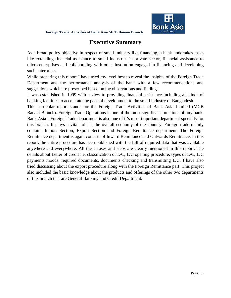

# **Executive Summary**

As a broad policy objective in respect of small industry like financing, a bank undertakes tasks like extending financial assistance to small industries in private sector, financial assistance to micro-enterprises and collaborating with other institution engaged in financing and developing such enterprises.

While preparing this report I have tried my level best to reveal the insights of the Foreign Trade Department and the performance analysis of the bank with a few recommendations and suggestions which are prescribed based on the observations and findings.

It was established in 1999 with a view to providing financial assistance including all kinds of banking facilities to accelerate the pace of development to the small industry of Bangladesh.

This particular report stands for the Foreign Trade Activities of Bank Asia Limited (MCB Banani Branch). Foreign Trade Operations is one of the most significant functions of any bank. Bank Asia's Foreign Trade department is also one of it's most important department specially for this branch. It plays a vital role in the overall economy of the country. Foreign trade mainly contains Import Section, Export Section and Foreign Remittance department. The Foreign Remittance department is again consists of Inward Remittance and Outwards Remittance. In this report, the entire procedure has been published with the full of required data that was available anywhere and everywhere. All the clauses and steps are clearly mentioned in this report. The details about Letter of credit i.e. classification of L/C, L/C opening procedure, types of L/C, L/C payments moods, required documents, documents checking and transmitting L/C. I have also tried discussing about the export procedure along with the Foreign Remittance part. This project also included the basic knowledge about the products and offerings of the other two departments of this branch that are General Banking and Credit Department.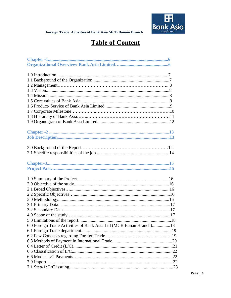

# **Table of Content**

| 6.0 Foreign Trade Activities of Bank Asia Ltd (MCB BananiBranch)18 |  |
|--------------------------------------------------------------------|--|
|                                                                    |  |
|                                                                    |  |
|                                                                    |  |
|                                                                    |  |
|                                                                    |  |
|                                                                    |  |
|                                                                    |  |
|                                                                    |  |
|                                                                    |  |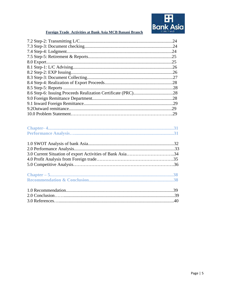

| .24 |
|-----|
|     |
| .24 |
| .25 |
| .25 |
| .26 |
| .26 |
| .27 |
| .28 |
| .28 |
|     |
| .28 |
|     |
| .29 |
|     |

| 3.0 Current Situation of export Activities of Bank Asia34 |  |
|-----------------------------------------------------------|--|
|                                                           |  |
|                                                           |  |
|                                                           |  |
|                                                           |  |
|                                                           |  |
|                                                           |  |
|                                                           |  |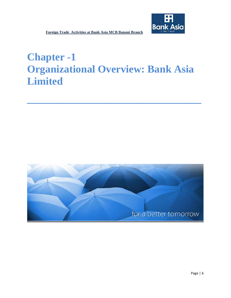# **Chapter -1 Organizational Overview: Bank Asia Limited**

**\_\_\_\_\_\_\_\_\_\_\_\_\_\_\_\_\_\_\_\_\_\_\_\_\_\_\_\_\_\_\_\_\_**

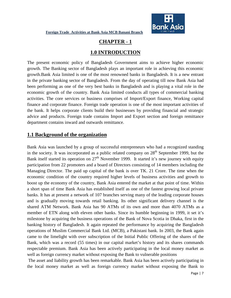![](_page_9_Picture_1.jpeg)

# **CHAPTER - 1**

### **1.0 INTRODUCTION**

The present economic policy of Bangladesh Government aims to achieve higher economic growth. The Banking sector of Bangladesh plays an important role in achieving this economic growth.Bank Asia limited is one of the most renowned banks in Bangladesh. It is a new entrant in the private banking sector of Bangladesh. From the day of operating till now Bank Asia had been performing as one of the very best banks in Bangladesh and is playing a vital role in the economic growth of the country. Bank Asia limited conducts all types of commercial banking activities. The core services or business comprises of Import/Export finance, Working capital finance and corporate finance. Foreign trade operation is one of the most important activities of the bank. It helps corporate clients build their businesses by providing financial and strategic advice and products. Foreign trade contains Import and Export section and foreign remittance department contains inward and outwards remittance.

### **1.1 Background of the organization**

Bank Asia was launched by a group of successful entrepreneurs who had a recognized standing in the society. It was incorporated as a public related company on  $28<sup>th</sup>$  September 1999, but the Bank itself started its operation on  $27<sup>th</sup>$  November 1999. It started it's new journey with equity participation from 22 promoters and a board of Directors consisting of 14 members including the Managing Director. The paid up capital of the bank is over TK. 21 Crore. The time when the economic condition of the country required higher levels of business activities and growth to boost up the economy of the country, Bank Asia entered the market at that point of time. Within a short span of time Bank Asia has established itself as one of the fastest growing local private banks. It has at present a network of 107 branches serving many of the leading corporate houses and is gradually moving towards retail banking. Its other significant delivery channel is the shared ATM Network. Bank Asia has 90 ATMs of its own and more than 4070 ATMs as a member of ETN along with eleven other banks. Since its humble beginning in 1999, it set it's milestone by acquiring the business operations of the Bank of Nova Scotia in Dhaka, first in the banking history of Bangladesh. It again repeated the performance by acquiring the Bangladesh operations of Muslim Commercial Bank Ltd. (MCB), a Pakistani bank. In 2003, the Bank again came to the limelight with over subscription of the Initial Public Offering of the shares of the Bank, which was a record (55 times) in our capital market's history and its shares commands respectable premium. Bank Asia has been actively participating in the local money market as well as foreign currency market without exposing the Bank to vulnerable positions

The asset and liability growth has been remarkable. Bank Asia has been actively participating in the local money market as well as foreign currency market without exposing the Bank to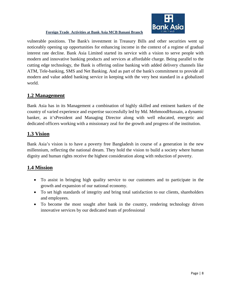![](_page_10_Picture_0.jpeg)

vulnerable positions. The Bank's investment in Treasury Bills and other securities went up noticeably opening up opportunities for enhancing income in the context of a regime of gradual interest rate decline. Bank Asia Limited started its service with a vision to serve people with modern and innovative banking products and services at affordable charge. Being parallel to the cutting edge technology, the Bank is offering online banking with added delivery channels like ATM, Tele-banking, SMS and Net Banking. And as part of the bank's commitment to provide all modern and value added banking service in keeping with the very best standard in a globalized world.

#### **1.2 Management**

Bank Asia has in its Management a combination of highly skilled and eminent bankers of the country of varied experience and expertise successfully led by Md. MehmoodHussain, a dynamic banker, as it'sPresident and Managing Director along with well educated, energetic and dedicated officers working with a missionary zeal for the growth and progress of the institution.

#### **1.3 Vision**

Bank Asia's vision is to have a poverty free Bangladesh in course of a generation in the new millennium, reflecting the national dream. They hold the vision to build a society where human dignity and human rights receive the highest consideration along with reduction of poverty.

#### **1.4 Mission**

- To assist in bringing high quality service to our customers and to participate in the growth and expansion of our national economy.
- To set high standards of integrity and bring total satisfaction to our clients, shareholders and employees.
- To become the most sought after bank in the country, rendering technology driven innovative services by our dedicated team of professional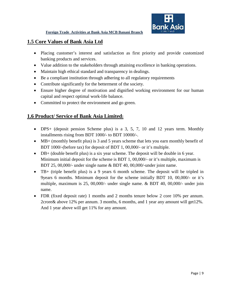![](_page_11_Picture_1.jpeg)

#### **1.5 Core Values of Bank Asia Ltd**

- Placing customer's interest and satisfaction as first priority and provide customized banking products and services.
- Value addition to the stakeholders through attaining excellence in banking operations.
- Maintain high ethical standard and transparency in dealings.
- Be a compliant institution through adhering to all regulatory requirements
- Contribute significantly for the betterment of the society.
- Ensure higher degree of motivation and dignified working environment for our human capital and respect optimal work-life balance.
- Committed to protect the environment and go green.

### **1.6 Product/ Service of Bank Asia Limited:**

- DPS+ (deposit pension Scheme plus) is a 3, 5, 7, 10 and 12 years term. Monthly installments rising from BDT 1000/- to BDT 10000/-.
- MB+ (monthly benefit plus) is 3 and 5 years scheme that lets you earn monthly benefit of BDT 1000/-(before tax) for deposit of BDT 1, 00,000/- or it's multiple.
- DB+ (double benefit plus) is a six year scheme. The deposit will be double in 6 year. Minimum initial deposit for the scheme is BDT 1, 00,000/- or it's multiple, maximum is BDT 25, 00,000/- under single name & BDT 40, 00,000/-under joint name.
- TB+ (triple benefit plus) is a 9 years 6 month scheme. The deposit will be tripled in 9years 6 months. Minimum deposit for the scheme initially BDT 10, 00,000/- or it's multiple, maximum is 25, 00,000/- under single name. & BDT 40, 00,000/- under join name.
- FDR (fixed deposit rate) 1 months and 2 months tenure below 2 core 10% per annum. 2crore& above 12% per annum. 3 months, 6 months, and 1 year any amount will get12%. And 1 year above will get 11% for any amount.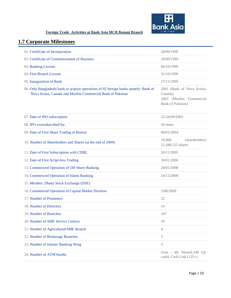![](_page_12_Picture_0.jpeg)

# **1.7 Corporate Milestones**

| 01. Certificate of Incorporation                                                                                                                  | 28/09/1999                                                                            |
|---------------------------------------------------------------------------------------------------------------------------------------------------|---------------------------------------------------------------------------------------|
| 02. Certificate of Commencement of Business                                                                                                       | 28/09/1999                                                                            |
| 03. Banking License                                                                                                                               | 06/10/1999                                                                            |
| 04. First Branch License                                                                                                                          | 31/10/1999                                                                            |
| 05. Inauguration of Bank                                                                                                                          | 27/11/1999                                                                            |
| 06. Only Bangladeshi bank to acquire operations of 02 foreign banks namely: Bank of<br>Nova Scotia, Canada and Muslim Commercial Bank of Pakistan | 2001 (Bank of Nova Scotia,<br>Canada)<br>2002 (Muslim Commercial<br>Bank of Pakistan) |
| 07. Date of IPO subscription                                                                                                                      | 23-24/09/2003                                                                         |
| 08. IPO oversubscribed by:                                                                                                                        | 56 times                                                                              |
| 09. Date of First Share Trading in Bourse                                                                                                         | 08/01/2004                                                                            |
| 10. Number of Shareholders and Shares (at the end of 2009)                                                                                        | 10,868<br>(shareholders)<br>21,448,125 shares                                         |
| 11. Date of First Subscription with CDBL                                                                                                          | 20/12/2005                                                                            |
| 12. Date of First Script-less Trading                                                                                                             | 30/01/2006                                                                            |
| 13. Commenced Operation of Off-Shore Banking                                                                                                      | 28/01/2008                                                                            |
| 14. Commenced Operation of Islami Banking                                                                                                         | 24/12/2008                                                                            |
| 15. Member, Dhaka Stock Exchange (DSE)                                                                                                            |                                                                                       |
| 16. Commenced Operation of Capital Market Division                                                                                                | 5/08/2009                                                                             |
| 17. Number of Promoters                                                                                                                           | 22                                                                                    |
| 18. Number of Directors                                                                                                                           | 14                                                                                    |
| 19. Number of Branches                                                                                                                            | 107                                                                                   |
| 20. Number of SME Service Centres                                                                                                                 | 10                                                                                    |
| 21. Number of Agricultural/SME Branch                                                                                                             | $\overline{4}$                                                                        |
| 22. Number of Brokerage Branches                                                                                                                  | $\mathfrak s$                                                                         |
| 23. Number of Islamic Banking Wing                                                                                                                | $\mathfrak s$                                                                         |
| 24. Number of ATM booths                                                                                                                          | Own - 48, Shared-240 (Q-<br>cash), Cash Link (125+)                                   |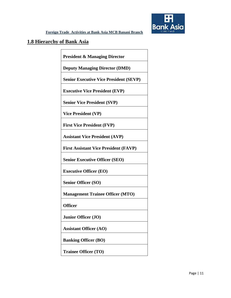![](_page_13_Picture_0.jpeg)

#### **1.8 Hierarchy of Bank Asia**

**President & Managing Director**

**Deputy Managing Director (DMD)**

**Senior Executive Vice President (SEVP)**

**Executive Vice President (EVP)**

**Senior Vice President (SVP)**

**Vice President (VP)**

**First Vice President (FVP)**

**Assistant Vice President (AVP)**

**First Assistant Vice President (FAVP)** 

**Senior Executive Officer (SEO)**

**Executive Officer (EO)**

**Senior Officer (SO)**

**Management Trainee Officer (MTO)**

**Officer**

**Junior Officer (JO)**

**Assistant Officer (AO)**

**Banking Officer (BO)**

**Trainee Officer (TO)**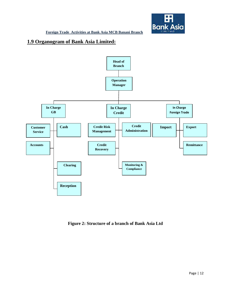![](_page_14_Picture_0.jpeg)

### **1.9 Organogram of Bank Asia Limited:**

![](_page_14_Figure_3.jpeg)

**Figure 2: Structure of a branch of Bank Asia Ltd**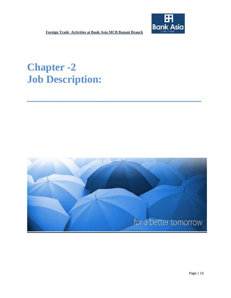# **Chapter -2 Job Description:**

![](_page_15_Picture_3.jpeg)

**\_\_\_\_\_\_\_\_\_\_\_\_\_\_\_\_\_\_\_\_\_\_\_\_\_\_\_\_\_\_\_\_\_**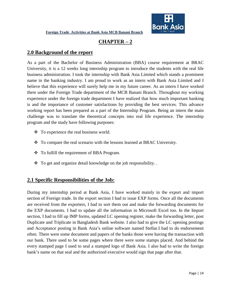![](_page_16_Picture_1.jpeg)

# **CHAPTER – 2**

#### **2.0 Background of the report**

As a part of the Bachelor of Business Administration (BBA) course requirement at BRAC University, it is a 12 weeks long internship program to introduce the students with the real life business administration. I took the internship with Bank Asia Limited which stands a prominent name in the banking industry. I am proud to work as an intern with Bank Asia Limited and I believe that this experience will surely help me in my future career. As an intern I have worked there under the Foreign Trade department of the MCB Banani Branch. Throughout my working experience under the foreign trade department I have realized that how much important banking is and the importance of customer satisfactions by providing the best services. This advance working report has been prepared as a part of the Internship Program. Being an intern the main challenge was to translate the theoretical concepts into real life experience. The internship program and the study have following purposes:

- To experience the real business world.
- To compare the real scenario with the lessons learned at BRAC University.
- To fulfill the requirement of BBA Program.
- $\bullet$  To get and organize detail knowledge on the job responsibility.

#### **2.1 Specific Responsibilities of the Job:**

During my internship period at Bank Asia, I have worked mainly in the export and import section of Foreign trade. In the export section I had to issue EXP forms. Once all the documents are received from the exporters, I had to sort them out and make the forwarding documents for the EXP documents. I had to update all the information in Microsoft Excel too. In the Import section, I had to fill up IMP forms, updated LC opening register, make the forwarding letter, post Duplicate and Triplicate in Bangladesh Bank website. I also had to give the LC opening postings and Acceptance posting in Bank Asia's online software named Stellar.I had to do endorsement often. There were some document and papers of the banks those were having the transaction with our bank. There used to be some pages where there were some stamps placed. And behind the every stamped page I used to seal a stamped logo of Bank Asia. I also had to write the foreign bank's name on that seal and the authorized executive would sign that page after that.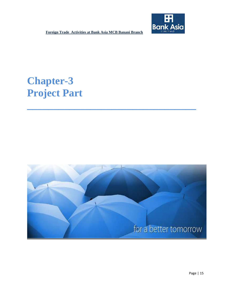![](_page_17_Picture_1.jpeg)

# **Chapter-3 Project Part**

![](_page_17_Picture_3.jpeg)

**\_\_\_\_\_\_\_\_\_\_\_\_\_\_\_\_\_\_\_\_\_\_\_\_\_\_\_\_\_\_\_\_**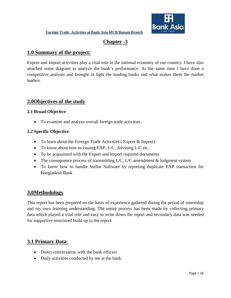![](_page_18_Picture_1.jpeg)

## **Chapter -3**

#### **1.0 Summary of the project:**

Export and import activities play a vital role in the national economy of our country. I have also attached some diagram to analyze the bank's performance. At the same time I have done a competitive analysis and brought in light the leading banks and what makes them the market leaders.

### **2.0Objectives of the study**

#### **2.1 Broad Objective**:

• To examine and analyze overall foreign trade activities.

#### **2.2 Specific Objective**:

- To learn about the Foreign Trade Activities (Export & Import)
- To know about how to issuing EXP, L/C, Advising L/C etc.
- To be acquainted with the Export and Import required documents
- The consequence process of transmitting  $L/C$ ,  $L/C$  amendment  $&$  lodgment system
- To know how to handle Stellar Software by reporting duplicate EXP transaction for Bangladesh Bank

#### **3.0Methodology**

This report has been prepared on the basis of experience gathered during the period of internship and my own learning understanding. The entire process has been made by collecting primary data which played a vital role and easy to write down the report and secondary data was needed for supportive structured build up to the report.

#### **3.1 Primary Data:**

- Direct conversation with the bank officers
- Daily activities conducted by me at the bank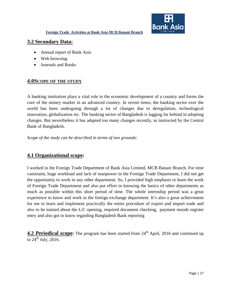![](_page_19_Picture_1.jpeg)

#### **3.2 Secondary Data:**

- Annual report of Bank Asia
- Web browsing
- Journals and Books

#### **4.0SCOPE OF THE STUDY**

A banking institution plays a vital role in the economic development of a country and forms the core of the money market in an advanced country. In recent times, the banking sector over the world has been undergoing through a lot of changes due to deregulation, technological innovation, globalization etc. The banking sector of Bangladesh is lagging far behind in adopting changes. But nevertheless it has adapted too many changes recently, as instructed by the Central Bank of Bangladesh.

*Scope of the study can be described in terms of two grounds:* 

#### **4.1 Organizational scope:**

I worked in the Foreign Trade Department of Bank Asia Limited, MCB Banani Branch. For time constraint, huge workload and lack of manpower in the Foreign Trade Department, I did not get the opportunity to work in any other department. So, I provided high emphasis to learn the work of Foreign Trade Department and also put effort in knowing the basics of other departments as much as possible within this short period of time. The whole internship period was a great experience to know and work in the foreign exchange department. It's also a great achievement for me to learn and implement practically the entire procedure of export and import trade and also to be trained about the L/C opening, required document checking, payment moods register entry and also got to know regarding Bangladesh Bank reporting

**4.2 Periodical scope:** The program has been started from 24<sup>th</sup> April, 2016 and continued up to  $24^{\text{th}}$  July, 2016.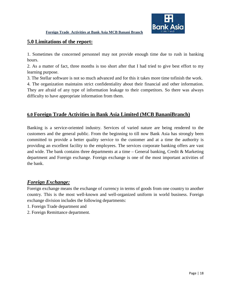![](_page_20_Picture_1.jpeg)

#### **5.0 Limitations of the report:**

1. Sometimes the concerned personnel may not provide enough time due to rush in banking hours.

2. As a matter of fact, three months is too short after that I had tried to give best effort to my learning purpose.

3. The Stellar software is not so much advanced and for this it takes more time tofinish the work.

4. The organization maintains strict confidentiality about their financial and other information. They are afraid of any type of information leakage to their competitors. So there was always difficulty to have appropriate information from them.

### **6.0 Foreign Trade Activities in Bank Asia Limited (MCB BananiBranch)**

Banking is a service-oriented industry. Services of varied nature are being rendered to the customers and the general public. From the beginning to till now Bank Asia has strongly been committed to provide a better quality service to the customer and at a time the authority is providing an excellent facility to the employees. The services corporate banking offers are vast and wide. The bank contains three departments at a time – General banking, Credit  $\&$  Marketing department and Foreign exchange. Foreign exchange is one of the most important activities of the bank.

#### *Foreign Exchange:*

Foreign exchange means the exchange of currency in terms of goods from one country to another country. This is the most well-known and well-organized uniform in world business. Foreign exchange division includes the following departments:

- 1. Foreign Trade department and
- 2. Foreign Remittance department.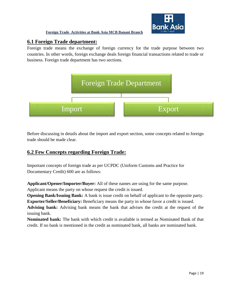![](_page_21_Picture_0.jpeg)

#### **6.1 Foreign Trade department:**

Foreign trade means the exchange of foreign currency for the trade purpose between two countries. In other words, foreign exchange deals foreign financial transactions related to trade or business. Foreign trade department has two sections.

![](_page_21_Figure_4.jpeg)

Before discussing in details about the import and export section, some concepts related to foreign trade should be made clear.

### **6.2 Few Concepts regarding Foreign Trade:**

Important concepts of foreign trade as per UCPDC (Uniform Customs and Practice for Documentary Credit) 600 are as follows:

**Applicant/Opener/Importer/Buyer:** All of these names are using for the same purpose. Applicant means the party on whose request the credit is issued.

**Opening Bank/Issuing Bank:** A bank is issue credit on behalf of applicant to the opposite party. **Exporter/Seller/Beneficiary:** Beneficiary means the party in whose favor a credit is issued.

**Advising bank:** Advising bank means the bank that advises the credit at the request of the issuing bank.

**Nominated bank:** The bank with which credit is available is termed as Nominated Bank of that credit. If no bank is mentioned in the credit as nominated bank, all banks are nominated bank.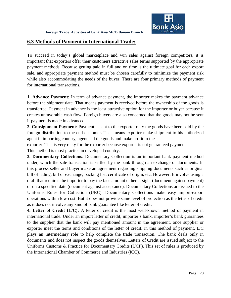![](_page_22_Picture_0.jpeg)

#### **6.3 Methods of Payment in International Trade:**

To succeed in today's global marketplace and win sales against foreign competitors, it is important that exporters offer their customers attractive sales terms supported by the appropriate payment methods. Because getting paid in full and on time is the ultimate goal for each export sale, and appropriate payment method must be chosen carefully to minimize the payment risk while also accommodating the needs of the buyer. There are four primary methods of payment for international transactions.

**1. Advance Payment**: In term of advance payment, the importer makes the payment advance before the shipment date. That means payment is received before the ownership of the goods is transferred. Payment in advance is the least attractive option for the importer or buyer because it creates unfavorable cash flow. Foreign buyers are also concerned that the goods may not be sent if payment is made in advanced.

**2. Consignment Payment**: Payment is sent to the exporter only the goods have been sold by the foreign distribution to the end customer. That means exporter make shipment to his authorized agent in importing country, agent sell the goods and make profit to the

exporter. This is very risky for the exporter because exporter is not guaranteed payment.

This method is most practice in developed country.

**3. Documentary Collections**: Documentary Collection is an important bank payment method under, which the sale transaction is settled by the bank through an exchange of documents. In this process seller and buyer make an agreement regarding shipping documents such as original bill of lading, bill of exchange, packing list, certificate of origin, etc. However, It involve using a draft that requires the importer to pay the face amount either at sight (document against payment) or on a specified date (document against acceptance). Documentary Collections are issued to the Uniforms Rules for Collection (URC). Documentary Collections make easy import-export operations within low cost. But it does not provide same level of protection as the letter of credit as it does not involve any kind of bank guarantee like letter of credit.

**4. Letter of Credit (L/C):** A letter of credit is the most well-known method of payment in international trade. Under an import letter of credit, importer's bank, importer's bank guarantees to the supplier that the bank will pay mentioned amount in the agreement, once supplier or exporter meet the terms and conditions of the letter of credit. In this method of payment, L/C plays an intermediary role to help complete the trade transaction. The bank deals only in documents and does not inspect the goods themselves. Letters of Credit are issued subject to the Uniforms Customs & Practice for Documentary Credits (UCP). This set of rules is produced by the International Chamber of Commerce and Industries (ICC).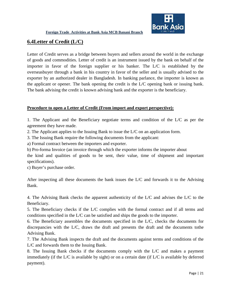![](_page_23_Picture_1.jpeg)

### **6.4Letter of Credit (L/C)**

Letter of Credit serves as a bridge between buyers and sellers around the world in the exchange of goods and commodities. Letter of credit is an instrument issued by the bank on behalf of the importer in favor of the foreign supplier or his banker. The L/C is established by the overseasbuyer through a bank in his country in favor of the seller and is usually advised to the exporter by an authorized dealer in Bangladesh. In banking parlance, the importer is known as the applicant or opener. The bank opening the credit is the L/C opening bank or issuing bank. The bank advising the credit is known advising bank and the exporter is the beneficiary.

#### **Procedure to open a Letter of Credit (From import and export perspective):**

1. The Applicant and the Beneficiary negotiate terms and condition of the L/C as per the agreement they have made.

2. The Applicant applies to the Issuing Bank to issue the L/C on an application form.

3. The Issuing Bank require the following documents from the applicant:

a) Formal contract between the importers and exporter.

b) Pro-forma Invoice (an invoice through which the exporter informs the importer about

the kind and qualities of goods to be sent, their value, time of shipment and important specifications).

c) Buyer's purchase order.

After inspecting all these documents the bank issues the L/C and forwards it to the Advising Bank.

4. The Advising Bank checks the apparent authenticity of the L/C and advises the L/C to the Beneficiary.

5. The Beneficiary checks if the L/C complies with the formal contract and if all terms and conditions specified in the L/C can be satisfied and ships the goods to the importer.

6. The Beneficiary assembles the documents specified in the L/C, checks the documents for discrepancies with the L/C, draws the draft and presents the draft and the documents tothe Advising Bank.

7. The Advising Bank inspects the draft and the documents against terms and conditions of the L/C and forwards them to the Issuing Bank.

8. The Issuing Bank checks if the documents comply with the L/C and makes a payment immediately (if the L/C is available by sight) or on a certain date (if L/C is available by deferred payment).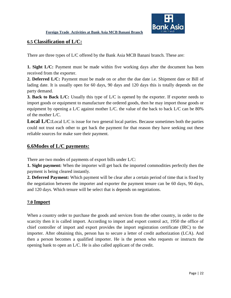![](_page_24_Picture_1.jpeg)

#### **6.5 Classification of L/C:**

There are three types of L/C offered by the Bank Asia MCB Banani branch. These are:

**1. Sight L/C:** Payment must be made within five working days after the document has been received from the exporter.

**2. Deferred L/C:** Payment must be made on or after the due date i.e. Shipment date or Bill of lading date. It is usually open for 60 days, 90 days and 120 days this is totally depends on the party demand.

**3. Back to Back L/C:** Usually this type of L/C is opened by the exporter. If exporter needs to import goods or equipment to manufacture the ordered goods, then he may import those goods or equipment by opening a L/C against mother L/C. the value of the back to back L/C can be 80% of the mother L/C.

**Local L/C:**Local L/C is issue for two general local parties. Because sometimes both the parties could not trust each other to get back the payment for that reason they have seeking out these reliable sources for make sure their payment.

#### **6.6Modes of L/C payments:**

There are two modes of payments of export bills under L/C:

**1. Sight payment:** When the importer will get back the imported commodities perfectly then the payment is being cleared instantly.

**2. Deferred Payment:** Which payment will be clear after a certain period of time that is fixed by the negotiation between the importer and exporter the payment tenure can be 60 days, 90 days, and 120 days. Which tenure will be select that is depends on negotiations.

#### **7.0 Import**

When a country order to purchase the goods and services from the other country, in order to the scarcity then it is called import. According to import and export control act, 1950 the office of chief controller of import and export provides the import registration certificate (IRC) to the importer. After obtaining this, person has to secure a letter of credit authorization (LCA). And then a person becomes a qualified importer. He is the person who requests or instructs the opening bank to open an L/C. He is also called applicant of the credit.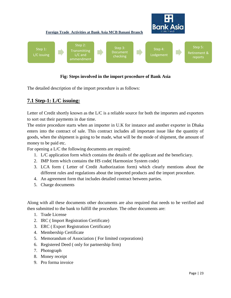![](_page_25_Figure_0.jpeg)

#### **Fig: Steps involved in the import procedure of Bank Asia**

The detailed description of the import procedure is as follows:

#### **7.1 Step-1: L/C issuing:**

Letter of Credit shortly known as the L/C is a reliable source for both the importers and exporters to sort out their payments in due time.

The entire procedure starts when an importer in U.K for instance and another exporter in Dhaka enters into the contract of sale. This contract includes all important issue like the quantity of goods, when the shipment is going to be made, what will be the mode of shipment, the amount of money to be paid etc.

For opening a L/C the following documents are required:

- 1. L/C application form which contains the details of the applicant and the beneficiary.
- 2. IMP form which contains the HS code( Harmonize System code)
- 3. LCA form ( Letter of Credit Authorization form) which clearly mentions about the different rules and regulations about the imported products and the import procedure.
- 4. An agreement form that includes detailed contract between parties.
- 5. Charge documents

Along with all these documents other documents are also required that needs to be verified and then submitted to the bank to fulfill the procedure. The other documents are:

- 1. Trade License
- 2. IRC ( Import Registration Certificate)
- 3. ERC ( Export Registration Certificate)
- 4. Membership Certificate
- 5. Memorandum of Association ( For limited corporations)
- 6. Registered Deed ( only for partnership firm)
- 7. Photograph
- 8. Money receipt
- 9. Pro forma invoice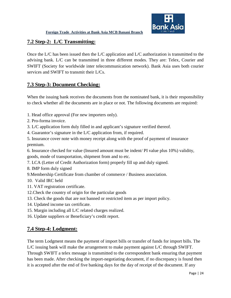![](_page_26_Picture_1.jpeg)

#### **7.2 Step-2: L/C Transmitting:**

Once the L/C has been issued then the L/C application and L/C authorization is transmitted to the advising bank. L/C can be transmitted in three different modes. They are: Telex, Courier and SWIFT (Society for worldwide inter telecommunication network). Bank Asia uses both courier services and SWIFT to transmit their L/Cs.

# **7.3 Step-3: Document Checking:**

When the issuing bank receives the documents from the nominated bank, it is their responsibility to check whether all the documents are in place or not. The following documents are required:

- 1. Head office approval (For new importers only).
- 2. Pro-forma invoice.
- 3. L/C application form duly filled in and applicant's signature verified thereof.
- 4. Guarantor's signature in the L/C application from, if required.
- 5. Insurance cover note with money receipt along with the proof of payment of insurance premium.
- 6. Insurance checked for value (Insured amount must be indent/ PI value plus 10%) validity, goods, mode of transportation, shipment from and to etc.
- 7. LCA (Letter of Credit Authorization form) properly fill up and duly signed.
- 8. IMP form duly signed
- 9.Membership Certificate from chamber of commerce / Business association.
- 10. Valid IRC held
- 11. VAT registration certificate.
- 12.Check the country of origin for the particular goods
- 13. Check the goods that are not banned or restricted item as per import policy.
- 14. Updated income tax certificate.
- 15. Margin including all L/C related charges realized.
- 16. Update suppliers or Beneficiary's credit report.

## **7.4 Step-4: Lodgment:**

The term Lodgment means the payment of import bills or transfer of funds for import bills. The L/C issuing bank will make the arrangement to make payment against L/C through SWIFT. Through SWIFT a telex message is transmitted to the correspondent bank ensuring that payment has been made. After checking the import-negotiating document, if no discrepancy is found then it is accepted after the end of five banking days for the day of receipt of the document. If any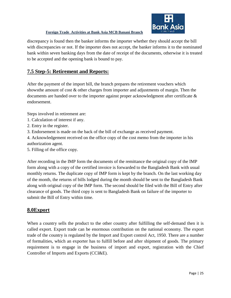![](_page_27_Picture_1.jpeg)

discrepancy is found then the banker informs the importer whether they should accept the bill with discrepancies or not. If the importer does not accept, the banker informs it to the nominated bank within seven banking days from the date of receipt of the documents, otherwise it is treated to be accepted and the opening bank is bound to pay.

### **7.5 Step-5: Retirement and Reports:**

After the payment of the import bill, the branch prepares the retirement vouchers which showsthe amount of cost & other charges from importer and adjustments of margin. Then the documents are handed over to the importer against proper acknowledgment after certificate & endorsement.

Steps involved in retirement are:

- 1. Calculation of interest if any.
- 2. Entry in the register.
- 3. Endorsement is made on the back of the bill of exchange as received payment.

4. Acknowledgement received on the office copy of the cost memo from the importer in his authorization agent.

5. Filling of the office copy.

After recording in the IMP form the documents of the remittance the original copy of the IMP form along with a copy of the certified invoice is forwarded to the Bangladesh Bank with usual monthly returns. The duplicate copy of IMP form is kept by the branch. On the last working day of the month, the returns of bills lodged during the month should be sent to the Bangladesh Bank along with original copy of the IMP form. The second should be filed with the Bill of Entry after clearance of goods. The third copy is sent to Bangladesh Bank on failure of the importer to submit the Bill of Entry within time.

#### **8.0Export**

When a country sells the product to the other country after fulfilling the self-demand then it is called export. Export trade can be enormous contribution on the national economy. The export trade of the country is regulated by the Import and Export control Act, 1950. There are a number of formalities, which an exporter has to fulfill before and after shipment of goods. The primary requirement is to engage in the business of import and export, registration with the Chief Controller of Imports and Exports (CCI&E).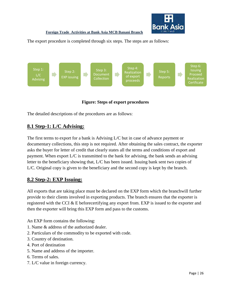![](_page_28_Picture_0.jpeg)

The export procedure is completed through six steps. The steps are as follows:

![](_page_28_Figure_3.jpeg)

#### **Figure: Steps of export procedures**

The detailed descriptions of the procedures are as follows:

#### **8.1 Step-1: L/C Advising:**

The first terms to export for a bank is Advising L/C but in case of advance payment or documentary collections, this step is not required. After obtaining the sales contract, the exporter asks the buyer for letter of credit that clearly states all the terms and conditions of export and payment. When export L/C is transmitted to the bank for advising, the bank sends an advising letter to the beneficiary showing that, L/C has been issued. Issuing bank sent two copies of L/C. Original copy is given to the beneficiary and the second copy is kept by the branch.

#### **8.2 Step-2: EXP Issuing:**

All exports that are taking place must be declared on the EXP form which the branchwill further provide to their clients involved in exporting products. The branch ensures that the exporter is registered with the CCI & E beforecertifying any export from. EXP is issued to the exporter and then the exporter will bring this EXP form and pass to the customs.

An EXP form contains the following:

- 1. Name & address of the authorized dealer.
- 2. Particulars of the commodity to be exported with code.
- 3. Country of destination.
- 4. Port of destination
- 5. Name and address of the importer.
- 6. Terms of sales.
- 7. L/C value in foreign currency.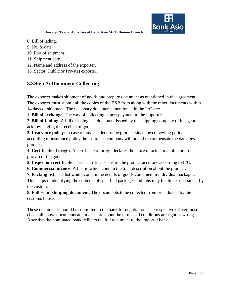![](_page_29_Picture_0.jpeg)

- 8. Bill of lading.
- 9. No. & date.
- 10. Port of shipment.
- 11. Shipment date.
- 12. Name and address of the exporter.
- 15. Sector (Public or Private) exporter.

# **8.3Step-3: Document Collecting:**

The exporter makes shipment of goods and prepare document as mentioned in the agreement. The exporter must submit all the copies of the EXP from along with the other documents within 14 days of shipment. The necessary documents mentioned in the L/C are:

1. **Bill of exchange**: The way of collecting export payment to the importer.

**2. Bill of Lading**: A bill of lading is a document issued by the shipping company or its agent, acknowledging the receipts of goods.

**3. Insurance policy**: In case of any accident to the product since the conveying period, according to insurance policy the insurance company will bound to compensate the damages product.

**4. Certificate of origin**: A certificate of origin declares the place of actual manufacturer or growth of the goods.

- **5. Inspection certificate**: These certificates ensure the product accuracy according to L/C.
- **6. Commercial invoice**: A list, in which contain the total description about the product.
- **7. Packing list**: The list would contain the details of goods contained in individual packages.

This helps in identifying the contents of specified packages and thus may facilitate assessment by the custom.

**8. Full set of shipping document**: The documents to be collected from or endorsed by the customs house.

These documents should be submitted to the bank for negotiation. The respective officer must check all above documents and make sure about the terms and conditions are right or wrong. After that the nominated bank delivers the full document to the importer bank.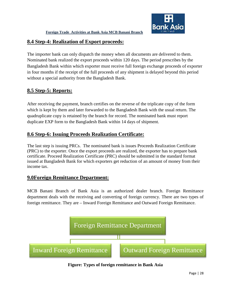#### **8.4 Step-4: Realization of Export proceeds:**

The importer bank can only dispatch the money when all documents are delivered to them. Nominated bank realized the export proceeds within 120 days. The period prescribes by the Bangladesh Bank within which exporter must receive full foreign exchange proceeds of exporter in four months if the receipt of the full proceeds of any shipment is delayed beyond this period without a special authority from the Bangladesh Bank.

## **8.5 Step-5: Reports:**

After receiving the payment, branch certifies on the reverse of the triplicate copy of the form which is kept by them and later forwarded to the Bangladesh Bank with the usual return. The quadruplicate copy is retained by the branch for record. The nominated bank must report duplicate EXP form to the Bangladesh Bank within 14 days of shipment.

# **8.6 Step-6: Issuing Proceeds Realization Certificate:**

The last step is issuing PRCs. The nominated bank is issues Proceeds Realization Certificate (PRC) to the exporter. Once the export proceeds are realized, the exporter has to prepare bank certificate. Proceed Realization Certificate (PRC) should be submitted in the standard format issued at Bangladesh Bank for which exporters get reduction of an amount of money from their income tax.

## **9.0Foreign Remittance Department:**

MCB Banani Branch of Bank Asia is an authorized dealer branch. Foreign Remittance department deals with the receiving and converting of foreign currency. There are two types of foreign remittance. They are – Inward Foreign Remittance and Outward Foreign Remittance.

![](_page_30_Figure_10.jpeg)

**Figure: Types of foreign remittance in Bank Asia**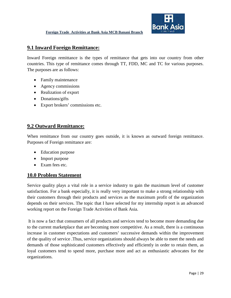### **9.1 Inward Foreign Remittance:**

Inward Foreign remittance is the types of remittance that gets into our country from other countries. This type of remittance comes through TT, FDD, MC and TC for various purposes. The purposes are as follows:

- Family maintenance
- Agency commissions
- Realization of export
- Donations/gifts
- Export brokers' commissions etc.

#### **9.2 Outward Remittance:**

When remittance from our country goes outside, it is known as outward foreign remittance. Purposes of Foreign remittance are:

- Education purpose
- Import purpose
- Exam fees etc.

#### **10.0 Problem Statement**

Service quality plays a vital role in a service industry to gain the maximum level of customer satisfaction. For a bank especially, it is really very important to make a strong relationship with their customers through their products and services as the maximum profit of the organization depends on their services. The topic that I have selected for my internship report is an advanced working report on the Foreign Trade Activities of Bank Asia.

It is now a fact that consumers of all products and services tend to become more demanding due to the current marketplace that are becoming more competitive. As a result, there is a continuous increase in customer expectations and customers' successive demands within the improvement of the quality of service .Thus, service organizations should always be able to meet the needs and demands of those sophisticated customers effectively and efficiently in order to retain them, as loyal customers tend to spend more, purchase more and act as enthusiastic advocates for the organizations.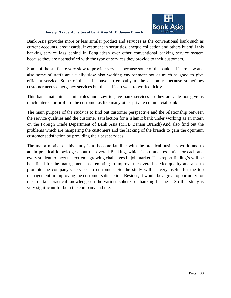![](_page_32_Picture_0.jpeg)

Bank Asia provides more or less similar product and services as the conventional bank such as current accounts, credit cards, investment in securities, cheque collection and others but still this banking service lags behind in Bangladesh over other conventional banking service system because they are not satisfied with the type of services they provide to their customers.

Some of the staffs are very slow to provide services because some of the bank staffs are new and also some of staffs are usually slow also working environment not as much as good to give efficient service. Some of the staffs have no empathy to the customers because sometimes customer needs emergency services but the staffs do want to work quickly.

This bank maintain Islamic rules and Law to give bank services so they are able not give as much interest or profit to the customer as like many other private commercial bank.

The main purpose of the study is to find out customer perspective and the relationship between the service qualities and the customer satisfaction for a Islamic bank under working as an intern on the Foreign Trade Department of Bank Asia (MCB Banani Branch).And also find out the problems which are hampering the customers and the lacking of the branch to gain the optimum customer satisfaction by providing their best services.

The major motive of this study is to become familiar with the practical business world and to attain practical knowledge about the overall Banking, which is so much essential for each and every student to meet the extreme growing challenges in job market. This report finding's will be beneficial for the management in attempting to improve the overall service quality and also to promote the company's services to customers. So the study will be very useful for the top management in improving the customer satisfaction. Besides, it would be a great opportunity for me to attain practical knowledge on the various spheres of banking business. So this study is very significant for both the company and me.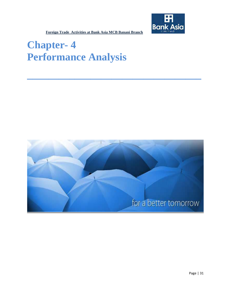![](_page_33_Picture_0.jpeg)

# **Chapter- 4 Performance Analysis**

![](_page_33_Picture_3.jpeg)

**\_\_\_\_\_\_\_\_\_\_\_\_\_\_\_\_\_\_\_\_\_\_\_\_\_\_\_\_\_\_\_\_\_**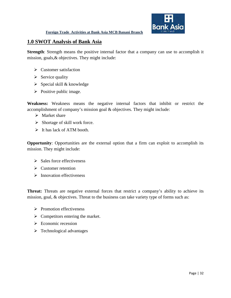#### **1.0 SWOT Analysis of Bank Asia**

**Strength**: Strength means the positive internal factor that a company can use to accomplish it mission, goals,& objectives. They might include:

- $\triangleright$  Customer satisfaction
- $\triangleright$  Service quality
- $\triangleright$  Special skill & knowledge
- $\triangleright$  Positive public image.

**Weakness:** Weakness means the negative internal factors that inhibit or restrict the accomplishment of company's mission goal & objectives. They might include:

- $\triangleright$  Market share
- $\triangleright$  Shortage of skill work force.
- $\triangleright$  It has lack of ATM booth.

**Opportunity**: Opportunities are the external option that a firm can exploit to accomplish its mission. They might include:

- $\triangleright$  Sales force effectiveness
- $\triangleright$  Customer retention
- $\triangleright$  Innovation effectiveness

Threat: Threats are negative external forces that restrict a company's ability to achieve its mission, goal, & objectives. Threat to the business can take variety type of forms such as:

- $\triangleright$  Promotion effectiveness
- $\triangleright$  Competitors entering the market.
- $\triangleright$  Economic recession
- $\triangleright$  Technological advantages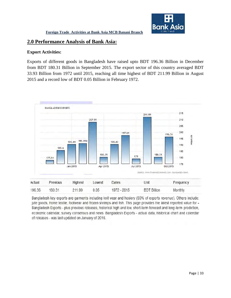![](_page_35_Picture_1.jpeg)

#### **2.0 Performance Analysis of Bank Asia:**

#### **Export Activities:**

Exports of different goods in Bangladesh have raised upto BDT 196.36 Billion in December from BDT 180.31 Billion in September 2015. The export sector of this country averaged BDT 33.93 Billion from 1972 until 2015, reaching all time highest of BDT 211.99 Billion in August 2015 and a record low of BDT 0.05 Billion in February 1972.

![](_page_35_Figure_5.jpeg)

Bangladesh key exports are garments including knit wear and hosiery (80% of exports revenue). Others include: jute goods, home textile, footwear and frozen shrimps and fish. This page provides the latest reported value for -Bangladesh Exports - plus previous releases, historical high and low, short-term forecast and long-term prediction, economic calendar, survey consensus and news. Bangladesh Exports - actual data, historical chart and calendar of releases - was last updated on January of 2016.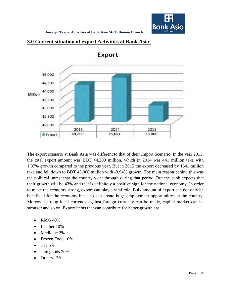![](_page_36_Picture_0.jpeg)

![](_page_36_Figure_2.jpeg)

![](_page_36_Figure_3.jpeg)

Export

The export scenario at Bank Asia was different to that of their Import Scenario. In the year 2013, the total export amount was BDT 44,200 million, which in 2014 was 441 million taka with 1.07% growth compared to the previous year. But in 2015 the export decreased by 1641 million taka and fell down to BDT 43,000 million with -3.94% growth. The main reason behind this was the political unrest that the country went through during that period. But the bank expects that their growth will be 43% and that is definitely a positive sign for the national economy. In order to make the economy strong, export can play a vital role. Bulk amount of export can not only be beneficial for the economy but also can create huge employment opportunities in the country. Moreover strong local currency against foreign currency can be made, capital market can be stronger and so on. Export items that can contribute for better growth are

- RMG 40%
- Leather 10%
- Medicine 2%
- Frozen Food 10%
- Tea  $5%$
- Jute goods 20%
- Others 13%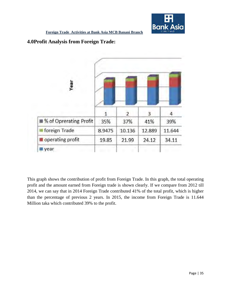![](_page_37_Picture_0.jpeg)

#### **4.0Profit Analysis from Foreign Trade:**

![](_page_37_Figure_3.jpeg)

This graph shows the contribution of profit from Foreign Trade. In this graph, the total operating profit and the amount earned from Foreign trade is shown clearly. If we compare from 2012 till 2014, we can say that in 2014 Foreign Trade contributed 41% of the total profit, which is higher than the percentage of previous 2 years. In 2015, the income from Foreign Trade is 11.644 Million taka which contributed 39% to the profit.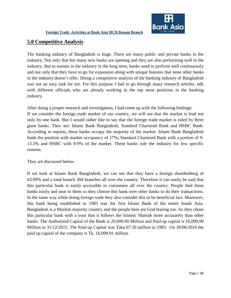![](_page_38_Picture_1.jpeg)

#### **5.0 Competitive Analysis**:

The banking industry of Bangladesh is huge. There are many public and private banks in the industry. Not only that but many new banks are opening and they are also performing well in the industry. But to sustain in the industry in the long term, banks need to perform well continuously and not only that they have to go for expansion along with unique features that none other banks in the industry doesn't offer. Doing a competitive analysis of the banking industry of Bangladesh was not an easy task for me. For this purpose I had to go through many research articles, talk with different officials who are already working in the top most positions in the banking industry.

After doing a proper research and investigation, I had come up with the following findings:

If we consider the foreign trade market of our country, we will see that the market is lead not only by one bank. But I would rather like to say that the foreign trade market is ruled by three giant banks. They are: Islami Bank Bangladesh, Standard Chartered Bank and HSBC Bank. According to reports, these banks occupy the majority of the market. Islami Bank Bangladesh leads the position with market occupancy of 17%, Standard Chartered Bank with a portion of 9- 13.5% and HSBC with 8-9% of the market. These banks rule the industry for few specific reasons.

They are discussed below:

If we look at Islami Bank Bangladesh, we can see that they have a foreign shareholding of 63.09% and a total branch 304 branches all over the country. Therefore it can easily be said that this particular bank is easily accessible to consumers all over the country. People find these banks easily and near to them so they choose this bank over other banks to do their transactions. In the same way while doing foreign trade they also consider this to be beneficial fact. Moreover, this bank being established in 1983 was the first Islami Bank of the entire South Asia. Bangladesh is a Muslim majority country and the people here are God fearing too. So they chose this particular bank with a trust that it follows the Islamic Shariah more accurately than other banks. The Authorized Capital of the Bank is 20,000.00 Million and Paid-up capital is 16,099.90 Million in 31/12/2015. The Paid-up Capital was Taka 67.50 million in 1983. On 30/06/2016 the paid up capital of the company is Tk. 16,099.91 million.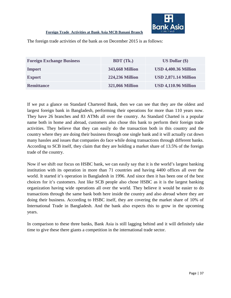![](_page_39_Picture_0.jpeg)

The foreign trade activities of the bank as on December 2015 is as follows:

| <b>Foreign Exchange Business</b> | <b>BDT</b> (Tk.)       | $US$ Dollar $(\$)$          |
|----------------------------------|------------------------|-----------------------------|
| Import                           | 343,668 Million        | <b>USD 4,400.36 Million</b> |
| <b>Export</b>                    | <b>224,236 Million</b> | <b>USD 2,871.14 Million</b> |
| <b>Remittance</b>                | <b>321,066 Million</b> | <b>USD 4,110.96 Million</b> |

If we put a glance on Standard Chartered Bank, then we can see that they are the oldest and largest foreign bank in Bangladesh, performing their operations for more than 110 years now. They have 26 branches and 83 ATMs all over the country. As Standard Charted is a popular name both in home and abroad, customers also chose this bank to perform their foreign trade activities. They believe that they can easily do the transaction both in this country and the country where they are doing their business through one single bank and it will actually cut down many hassles and issues that companies do face while doing transactions through different banks. According to SCB itself, they claim that they are holding a market share of 13.5% of the foreign trade of the country.

Now if we shift our focus on HSBC bank, we can easily say that it is the world's largest banking institution with its operation in more than 71 countries and having 4400 offices all over the world. It started it's operation in Bangladesh in 1996. And since then it has been one of the best choices for it's customers. Just like SCB people also chose HSBC as it is the largest banking organization having wide operations all over the world. They believe it would be easier to do transactions through the same bank both here inside the country and also abroad where they are doing their business. According to HSBC itself, they are covering the market share of 10% of International Trade in Bangladesh. And the bank also expects this to grow in the upcoming years.

In comparison to these three banks, Bank Asia is still lagging behind and it will definitely take time to give these there giants a competition in the international trade sector.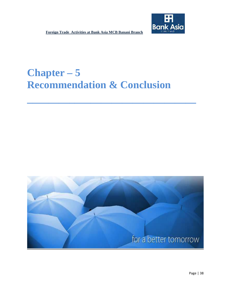![](_page_40_Picture_1.jpeg)

# **Chapter – 5 Recommendation & Conclusion**

**\_\_\_\_\_\_\_\_\_\_\_\_\_\_\_\_\_\_\_\_\_\_\_\_\_\_\_\_\_\_\_\_**

![](_page_40_Picture_3.jpeg)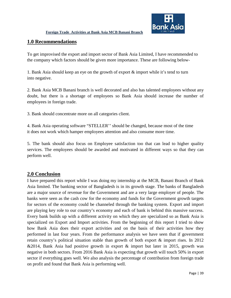![](_page_41_Picture_1.jpeg)

#### **1.0 Recommendations**

To get improvised the export and import sector of Bank Asia Limited, I have recommended to the company which factors should be given more importance. These are following below-

1. Bank Asia should keep an eye on the growth of export & import while it's tend to turn into negative.

2. Bank Asia MCB Banani branch is well decorated and also has talented employees without any doubt, but there is a shortage of employees so Bank Asia should increase the number of employees in foreign trade.

3. Bank should concentrate more on all categories client.

4. Bank Asia operating software "STELLER'' should be changed, because most of the time it does not work which hamper employees attention and also consume more time.

5. The bank should also focus on Employee satisfaction too that can lead to higher quality services. The employees should be awarded and motivated in different ways so that they can perform well.

#### **2.0 Conclusion**

I have prepared this report while I was doing my internship at the MCB, Banani Branch of Bank Asia limited. The banking sector of Bangladesh is in its growth stage. The banks of Bangladesh are a major source of revenue for the Government and are a very large employer of people. The banks were seen as the cash cow for the economy and funds for the Government growth targets for sectors of the economy could be channeled through the banking system. Export and import are playing key role to our country's economy and each of bank is behind this massive success. Every bank builds up with a different activity on which they are specialized so as Bank Asia is specialized on Export and Import activities. From the beginning of this report I tried to show how Bank Asia does their export activities and on the basis of their activities how they performed in last four years. From the performance analysis we have seen that if government retain country's political situation stable than growth of both export & import rises. In 2012 &2014, Bank Asia had positive growth in export & import but later in 2015, growth was negative in both sectors. From 2016 Bank Asia is expecting that growth will touch 50% in export sector if everything goes well. We also analysis the percentage of contribution from foreign trade on profit and found that Bank Asia is performing well.